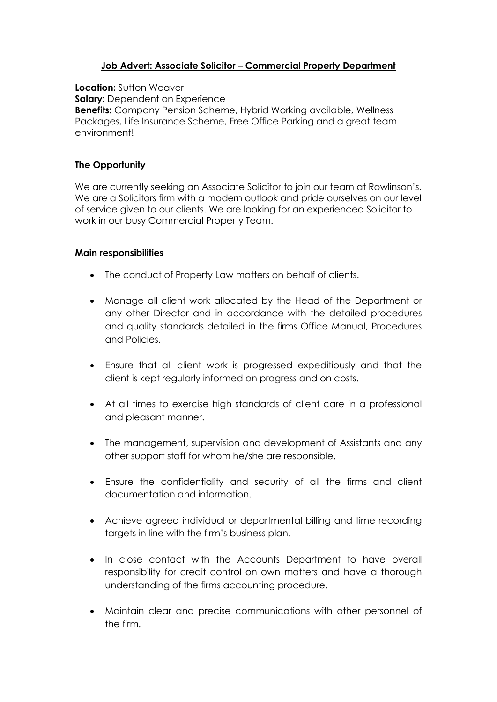# **Job Advert: Associate Solicitor – Commercial Property Department**

**Location:** Sutton Weaver **Salary:** Dependent on Experience **Benefits:** Company Pension Scheme, Hybrid Working available, Wellness Packages, Life Insurance Scheme, Free Office Parking and a great team environment!

## **The Opportunity**

We are currently seeking an Associate Solicitor to join our team at Rowlinson's. We are a Solicitors firm with a modern outlook and pride ourselves on our level of service given to our clients. We are looking for an experienced Solicitor to work in our busy Commercial Property Team.

#### **Main responsibilities**

- The conduct of Property Law matters on behalf of clients.
- Manage all client work allocated by the Head of the Department or any other Director and in accordance with the detailed procedures and quality standards detailed in the firms Office Manual, Procedures and Policies.
- Ensure that all client work is progressed expeditiously and that the client is kept regularly informed on progress and on costs.
- At all times to exercise high standards of client care in a professional and pleasant manner.
- The management, supervision and development of Assistants and any other support staff for whom he/she are responsible.
- Ensure the confidentiality and security of all the firms and client documentation and information.
- Achieve agreed individual or departmental billing and time recording targets in line with the firm's business plan.
- In close contact with the Accounts Department to have overall responsibility for credit control on own matters and have a thorough understanding of the firms accounting procedure.
- Maintain clear and precise communications with other personnel of the firm.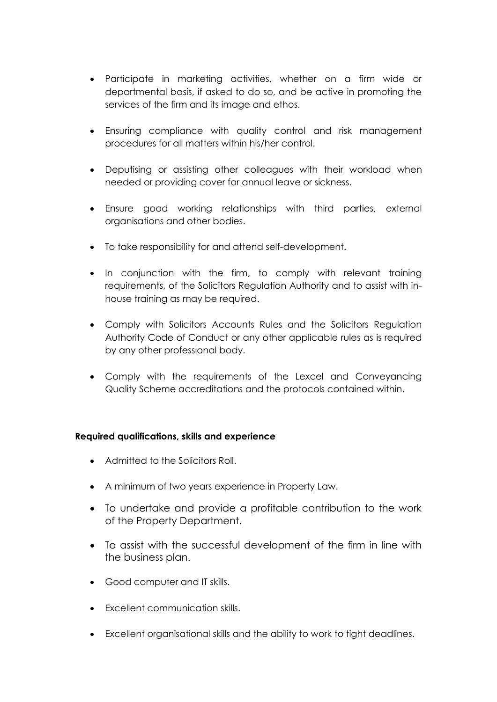- Participate in marketing activities, whether on a firm wide or departmental basis, if asked to do so, and be active in promoting the services of the firm and its image and ethos.
- Ensuring compliance with quality control and risk management procedures for all matters within his/her control.
- Deputising or assisting other colleagues with their workload when needed or providing cover for annual leave or sickness.
- Ensure good working relationships with third parties, external organisations and other bodies.
- To take responsibility for and attend self-development.
- In conjunction with the firm, to comply with relevant training requirements, of the Solicitors Regulation Authority and to assist with inhouse training as may be required.
- Comply with Solicitors Accounts Rules and the Solicitors Regulation Authority Code of Conduct or any other applicable rules as is required by any other professional body.
- Comply with the requirements of the Lexcel and Conveyancing Quality Scheme accreditations and the protocols contained within.

# **Required qualifications, skills and experience**

- Admitted to the Solicitors Roll.
- A minimum of two years experience in Property Law.
- To undertake and provide a profitable contribution to the work of the Property Department.
- To assist with the successful development of the firm in line with the business plan.
- Good computer and IT skills.
- Excellent communication skills.
- Excellent organisational skills and the ability to work to tight deadlines.